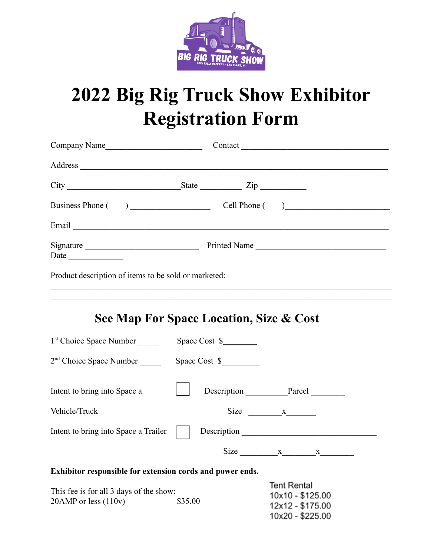

## **2022 Big Rig Truck Show Exhibitor Registration Form**

| Company Name                                         |
|------------------------------------------------------|
|                                                      |
| $\text{State}$ $\text{Zip}$                          |
| Business Phone ()<br>Cell Phone ( )                  |
|                                                      |
| Signature<br>Printed Name                            |
| Product description of items to be sold or marketed: |

## **See Map For Space Location, Size & Cost**

 $\mathcal{L}_\mathcal{L} = \{ \mathcal{L}_\mathcal{L} = \{ \mathcal{L}_\mathcal{L} = \{ \mathcal{L}_\mathcal{L} = \{ \mathcal{L}_\mathcal{L} = \{ \mathcal{L}_\mathcal{L} = \{ \mathcal{L}_\mathcal{L} = \{ \mathcal{L}_\mathcal{L} = \{ \mathcal{L}_\mathcal{L} = \{ \mathcal{L}_\mathcal{L} = \{ \mathcal{L}_\mathcal{L} = \{ \mathcal{L}_\mathcal{L} = \{ \mathcal{L}_\mathcal{L} = \{ \mathcal{L}_\mathcal{L} = \{ \mathcal{L}_\mathcal{$ 

| 1 <sup>st</sup> Choice Space Number                       | Space Cost $\frac{1}{2}$                                                                                                                                                                                                                                                                              |  |  |  |  |
|-----------------------------------------------------------|-------------------------------------------------------------------------------------------------------------------------------------------------------------------------------------------------------------------------------------------------------------------------------------------------------|--|--|--|--|
| 2 <sup>nd</sup> Choice Space Number                       | Space Cost \$                                                                                                                                                                                                                                                                                         |  |  |  |  |
| Intent to bring into Space a                              | Description Parcel                                                                                                                                                                                                                                                                                    |  |  |  |  |
| Vehicle/Truck                                             | Size $x$ x                                                                                                                                                                                                                                                                                            |  |  |  |  |
| Intent to bring into Space a Trailer                      | Description                                                                                                                                                                                                                                                                                           |  |  |  |  |
|                                                           | Size $x_1 x_2 x_3 x_4 x_5 x_6 x_7 x_8 x_9 x_1 x_1 x_2 x_3 x_4 x_5 x_6 x_7 x_8 x_1 x_2 x_3 x_4 x_4 x_5 x_6 x_7 x_8 x_9 x_1 x_2 x_3 x_4 x_4 x_5 x_6 x_7 x_8 x_9 x_1 x_2 x_3 x_4 x_5 x_6 x_7 x_8 x_9 x_1 x_2 x_3 x_4 x_5 x_6 x_7 x_8 x_9 x_1 x_2 x_3 x_4 x_5 x_6 x_7 x_8 x_9 x_1 x_2 x_3 x_4 x_5 x_6 x_$ |  |  |  |  |
| Exhibitor responsible for extension cords and power ends. |                                                                                                                                                                                                                                                                                                       |  |  |  |  |
| This fee is for all 3 days of the show.                   | <b>Tent Rental</b>                                                                                                                                                                                                                                                                                    |  |  |  |  |

| This fee is for all 3 days of the show: | 19111110111011<br>10x10 - \$125.00 |                  |
|-----------------------------------------|------------------------------------|------------------|
| $20$ AMP or less $(110v)$               | \$35.00                            | 12x12 - \$175.00 |
|                                         |                                    | 10x20 - \$225.00 |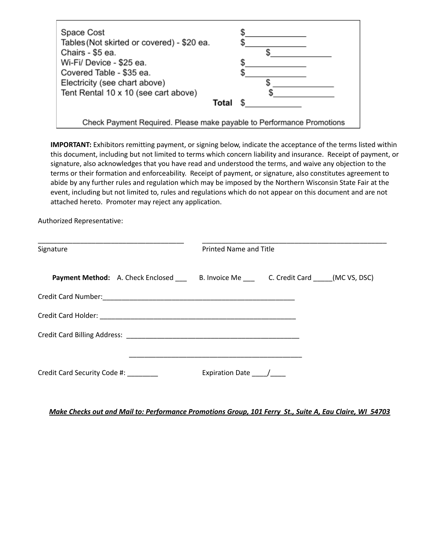| Space Cost                                                            |  |
|-----------------------------------------------------------------------|--|
| Tables (Not skirted or covered) - \$20 ea.                            |  |
| Chairs - \$5 ea.                                                      |  |
| Wi-Fi/ Device - \$25 ea.                                              |  |
| Covered Table - \$35 ea.                                              |  |
| Electricity (see chart above)                                         |  |
| Tent Rental 10 x 10 (see cart above)                                  |  |
| Total                                                                 |  |
| Check Payment Required. Please make payable to Performance Promotions |  |

**IMPORTANT:** Exhibitors remitting payment, or signing below, indicate the acceptance of the terms listed within this document, including but not limited to terms which concern liability and insurance. Receipt of payment, or signature, also acknowledges that you have read and understood the terms, and waive any objection to the terms or their formation and enforceability. Receipt of payment, or signature, also constitutes agreement to abide by any further rules and regulation which may be imposed by the Northern Wisconsin State Fair at the event, including but not limited to, rules and regulations which do not appear on this document and are not attached hereto. Promoter may reject any application.

Authorized Representative:

| Signature                            | <b>Printed Name and Title</b>                                                                |  |
|--------------------------------------|----------------------------------------------------------------------------------------------|--|
|                                      | Payment Method: A. Check Enclosed _____ B. Invoice Me _____ C. Credit Card _____(MC VS, DSC) |  |
|                                      |                                                                                              |  |
|                                      |                                                                                              |  |
|                                      |                                                                                              |  |
| Credit Card Security Code #: _______ | Expiration Date /                                                                            |  |

## Make Checks out and Mail to: Performance Promotions Group, 101 Ferry St., Suite A, Eau Claire, WI 54703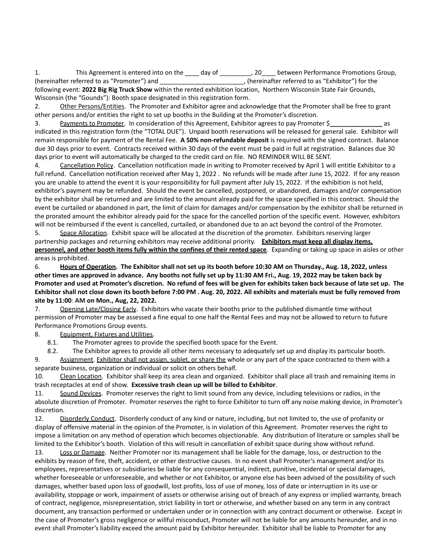1. This Agreement is entered into on the \_\_\_\_ day of \_\_\_\_\_\_\_\_, 20\_\_\_\_ between Performance Promotions Group, (hereinafter referred to as "Promoter") and \_\_\_\_\_\_\_\_\_\_\_\_\_\_\_\_\_\_\_\_\_\_\_\_, (hereinafter referred to as "Exhibitor") for the following event: **2022 Big Rig Truck Show** within the rented exhibition location, Northern Wisconsin State Fair Grounds, Wisconsin (the "Gounds"): Booth space designated in this registration form.

2. Other Persons/Entities. The Promoter and Exhibitor agree and acknowledge that the Promoter shall be free to grant other persons and/or entities the right to set up booths in the Building at the Promoter's discretion.

3. Payments to Promoter. In consideration of this Agreement, Exhibitor agrees to pay Promoter \$**\_\_\_\_\_\_\_\_\_\_\_\_\_\_\_** as indicated in this registration form (the "TOTAL DUE"). Unpaid booth reservations will be released for general sale. Exhibitor will remain responsible for payment of the Rental Fee. **A 50% non-refundable deposit** is required with the signed contract. Balance due 30 days prior to event. Contracts received within 30 days of the event must be paid in full at registration. Balances due 30 days prior to event will automatically be charged to the credit card on file. NO REMINDER WILL BE SENT.

4. Cancellation Policy. Cancellation notification made in writing to Promoter received by April 1 will entitle Exhibitor to a full refund. Cancellation notification received after May 1, 2022 . No refunds will be made after June 15, 2022. If for any reason you are unable to attend the event it is your responsibility for full payment after July 15, 2022. If the exhibition is not held, exhibitor's payment may be refunded. Should the event be cancelled, postponed, or abandoned, damages and/or compensation by the exhibitor shall be returned and are limited to the amount already paid for the space specified in this contract. Should the event be curtailed or abandoned in part, the limit of claim for damages and/or compensation by the exhibitor shall be returned in the prorated amount the exhibitor already paid for the space for the cancelled portion of the specific event. However, exhibitors will not be reimbursed if the event is cancelled, curtailed, or abandoned due to an act beyond the control of the Promoter.

5. Space Allocation. Exhibit space will be allocated at the discretion of the promoter. Exhibitors reserving larger partnership packages and returning exhibitors may receive additional priority. **Exhibitors must keep all display items, personnel, and other booth items fully within the confines of their rented space**. Expanding or taking up space in aisles or other areas is prohibited.

6. Hours of Operation. The Exhibitor shall not set up its booth before 10:30 AM on Thursday., Aug. 18, 2022, unless other times are approved in advance. Any booths not fully set up by 11:30 AM Fri., Aug. 19, 2022 may be taken back by Promoter and used at Promoter's discretion. No refund of fees will be given for exhibits taken back because of late set up. The Exhibitor shall not close down its booth before 7:00 PM . Aug. 20, 2022. All exhibits and materials must be fully removed from **site by 11:00**: **AM on Mon., Aug, 22, 2022.**

7. Opening Late/Closing Early. Exhibitors who vacate their booths prior to the published dismantle time without permission of Promoter may be assessed a fine equal to one half the Rental Fees and may not be allowed to return to future Performance Promotions Group events.

8. Equipment, Fixtures and Utilities.

8.1. The Promoter agrees to provide the specified booth space for the Event.

8.2. The Exhibitor agrees to provide all other items necessary to adequately set up and display its particular booth.

9. Assignment. Exhibitor shall not assign, sublet, or share the whole or any part of the space contracted to them with a separate business, organization or individual or solicit on others behalf.

10. Clean Location. Exhibitor shall keep its area clean and organized. Exhibitor shall place all trash and remaining items in trash receptacles at end of show. **Excessive trash clean up will be billed to Exhibitor**.

11. Sound Devices. Promoter reserves the right to limit sound from any device, including televisions or radios, in the absolute discretion of Promoter. Promoter reserves the right to force Exhibitor to turn off any noise making device, in Promoter's discretion.

12. Disorderly Conduct. Disorderly conduct of any kind or nature, including, but not limited to, the use of profanity or display of offensive material in the opinion of the Promoter, is in violation of this Agreement. Promoter reserves the right to impose a limitation on any method of operation which becomes objectionable. Any distribution of literature or samples shall be limited to the Exhibitor's booth. Violation of this will result in cancellation of exhibit space during show without refund.

13. Loss or Damage. Neither Promoter nor its management shall be liable for the damage, loss, or destruction to the exhibits by reason of fire, theft, accident, or other destructive causes. In no event shall Promoter's management and/or its employees, representatives or subsidiaries be liable for any consequential, indirect, punitive, incidental or special damages, whether foreseeable or unforeseeable, and whether or not Exhibitor, or anyone else has been advised of the possibility of such damages, whether based upon loss of goodwill, lost profits, loss of use of money, loss of date or interruption in its use or availability, stoppage or work, impairment of assets or otherwise arising out of breach of any express or implied warranty, breach of contract, negligence, misrepresentation, strict liability in tort or otherwise, and whether based on any term in any contract document, any transaction performed or undertaken under or in connection with any contract document or otherwise. Except in the case of Promoter's gross negligence or willful misconduct, Promoter will not be liable for any amounts hereunder, and in no event shall Promoter's liability exceed the amount paid by Exhibitor hereunder. Exhibitor shall be liable to Promoter for any